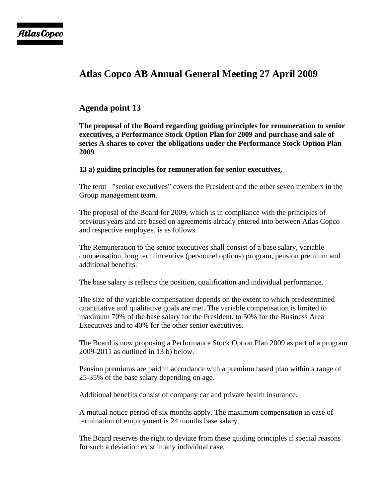# **Atlas Copco AB Annual General Meeting 27 April 2009**

## **Agenda point 13**

**The proposal of the Board regarding guiding principles for remuneration to senior executives, a Performance Stock Option Plan for 2009 and purchase and sale of series A shares to cover the obligations under the Performance Stock Option Plan 2009** 

## **13 a) guiding principles for remuneration for senior executives,**

The term "senior executives" covers the President and the other seven members in the Group management team.

The proposal of the Board for 2009, which is in compliance with the principles of previous years and are based on agreements already entered into between Atlas Copco and respective employee, is as follows.

The Remuneration to the senior executives shall consist of a base salary, variable compensation, long term incentive (personnel options) program, pension premium and additional benefits.

The base salary is reflects the position, qualification and individual performance.

The size of the variable compensation depends on the extent to which predetermined quantitative and qualitative goals are met. The variable compensation is limited to maximum 70% of the base salary for the President, to 50% for the Business Area Executives and to 40% for the other senior executives.

The Board is now proposing a Performance Stock Option Plan 2009 as part of a program 2009-2011 as outlined in 13 b) below.

Pension premiums are paid in accordance with a premium based plan within a range of 25-35% of the base salary depending on age.

Additional benefits consist of company car and private health insurance.

A mutual notice period of six months apply. The maximum compensation in case of termination of employment is 24 months base salary.

The Board reserves the right to deviate from these guiding principles if special reasons for such a deviation exist in any individual case.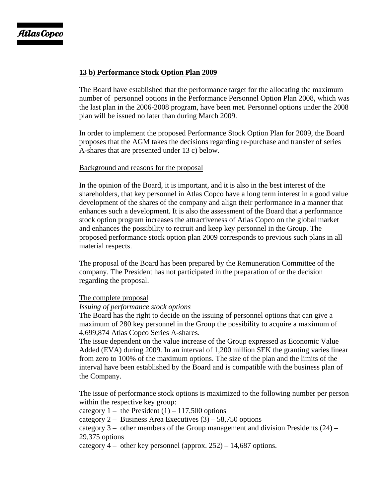## **13 b) Performance Stock Option Plan 2009**

The Board have established that the performance target for the allocating the maximum number of personnel options in the Performance Personnel Option Plan 2008, which was the last plan in the 2006-2008 program, have been met. Personnel options under the 2008 plan will be issued no later than during March 2009.

In order to implement the proposed Performance Stock Option Plan for 2009, the Board proposes that the AGM takes the decisions regarding re-purchase and transfer of series A-shares that are presented under 13 c) below.

#### Background and reasons for the proposal

In the opinion of the Board, it is important, and it is also in the best interest of the shareholders, that key personnel in Atlas Copco have a long term interest in a good value development of the shares of the company and align their performance in a manner that enhances such a development. It is also the assessment of the Board that a performance stock option program increases the attractiveness of Atlas Copco on the global market and enhances the possibility to recruit and keep key personnel in the Group. The proposed performance stock option plan 2009 corresponds to previous such plans in all material respects.

The proposal of the Board has been prepared by the Remuneration Committee of the company. The President has not participated in the preparation of or the decision regarding the proposal.

## The complete proposal

#### *Issuing of performance stock options*

The Board has the right to decide on the issuing of personnel options that can give a maximum of 280 key personnel in the Group the possibility to acquire a maximum of 4,699,874 Atlas Copco Series A-shares.

The issue dependent on the value increase of the Group expressed as Economic Value Added (EVA) during 2009. In an interval of 1,200 million SEK the granting varies linear from zero to 100% of the maximum options. The size of the plan and the limits of the interval have been established by the Board and is compatible with the business plan of the Company.

The issue of performance stock options is maximized to the following number per person within the respective key group:

category  $1 -$  the President  $(1) - 117,500$  options

category  $2 -$  Business Area Executives  $(3) - 58,750$  options

category 3 – other members of the Group management and division Presidents (24) **–**  29,375 options

category  $4 -$  other key personnel (approx. 252) – 14,687 options.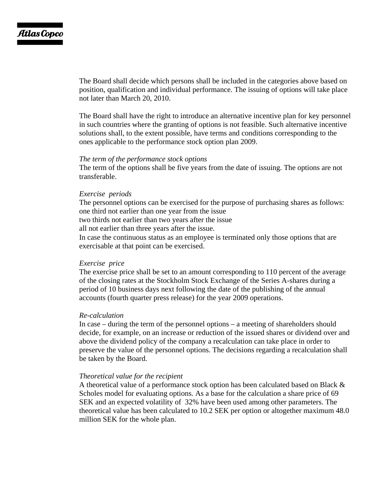The Board shall decide which persons shall be included in the categories above based on position, qualification and individual performance. The issuing of options will take place not later than March 20, 2010.

The Board shall have the right to introduce an alternative incentive plan for key personnel in such countries where the granting of options is not feasible. Such alternative incentive solutions shall, to the extent possible, have terms and conditions corresponding to the ones applicable to the performance stock option plan 2009.

#### *The term of the performance stock options*

The term of the options shall be five years from the date of issuing. The options are not transferable.

#### *Exercise periods*

The personnel options can be exercised for the purpose of purchasing shares as follows: one third not earlier than one year from the issue two thirds not earlier than two years after the issue all not earlier than three years after the issue. In case the continuous status as an employee is terminated only those options that are exercisable at that point can be exercised.

#### *Exercise price*

The exercise price shall be set to an amount corresponding to 110 percent of the average of the closing rates at the Stockholm Stock Exchange of the Series A-shares during a period of 10 business days next following the date of the publishing of the annual accounts (fourth quarter press release) for the year 2009 operations.

#### *Re-calculation*

In case – during the term of the personnel options – a meeting of shareholders should decide, for example, on an increase or reduction of the issued shares or dividend over and above the dividend policy of the company a recalculation can take place in order to preserve the value of the personnel options. The decisions regarding a recalculation shall be taken by the Board.

#### *Theoretical value for the recipient*

A theoretical value of a performance stock option has been calculated based on Black & Scholes model for evaluating options. As a base for the calculation a share price of 69 SEK and an expected volatility of32% have been used among other parameters. The theoretical value has been calculated to 10.2 SEK per option or altogether maximum 48.0 million SEK for the whole plan.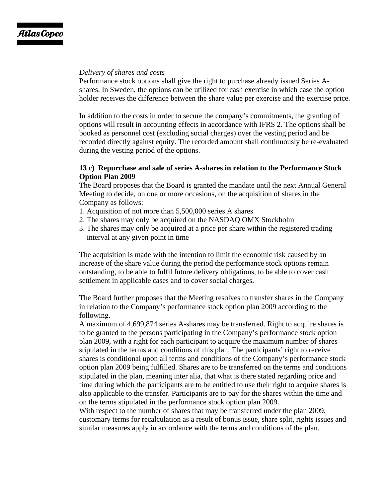## *Delivery of shares and costs*

Performance stock options shall give the right to purchase already issued Series Ashares. In Sweden, the options can be utilized for cash exercise in which case the option holder receives the difference between the share value per exercise and the exercise price.

In addition to the costs in order to secure the company's commitments, the granting of options will result in accounting effects in accordance with IFRS 2. The options shall be booked as personnel cost (excluding social charges) over the vesting period and be recorded directly against equity. The recorded amount shall continuously be re-evaluated during the vesting period of the options.

## **13 c) Repurchase and sale of series A-shares in relation to the Performance Stock Option Plan 2009**

The Board proposes that the Board is granted the mandate until the next Annual General Meeting to decide, on one or more occasions, on the acquisition of shares in the Company as follows:

- 1. Acquisition of not more than 5,500,000 series A shares
- 2. The shares may only be acquired on the NASDAQ OMX Stockholm
- 3. The shares may only be acquired at a price per share within the registered trading interval at any given point in time

The acquisition is made with the intention to limit the economic risk caused by an increase of the share value during the period the performance stock options remain outstanding, to be able to fulfil future delivery obligations, to be able to cover cash settlement in applicable cases and to cover social charges.

The Board further proposes that the Meeting resolves to transfer shares in the Company in relation to the Company's performance stock option plan 2009 according to the following.

A maximum of 4,699,874 series A-shares may be transferred. Right to acquire shares is to be granted to the persons participating in the Company's performance stock option plan 2009, with a right for each participant to acquire the maximum number of shares stipulated in the terms and conditions of this plan. The participants' right to receive shares is conditional upon all terms and conditions of the Company's performance stock option plan 2009 being fulfilled. Shares are to be transferred on the terms and conditions stipulated in the plan, meaning inter alia, that what is there stated regarding price and time during which the participants are to be entitled to use their right to acquire shares is also applicable to the transfer. Participants are to pay for the shares within the time and on the terms stipulated in the performance stock option plan 2009.

With respect to the number of shares that may be transferred under the plan 2009, customary terms for recalculation as a result of bonus issue, share split, rights issues and similar measures apply in accordance with the terms and conditions of the plan.